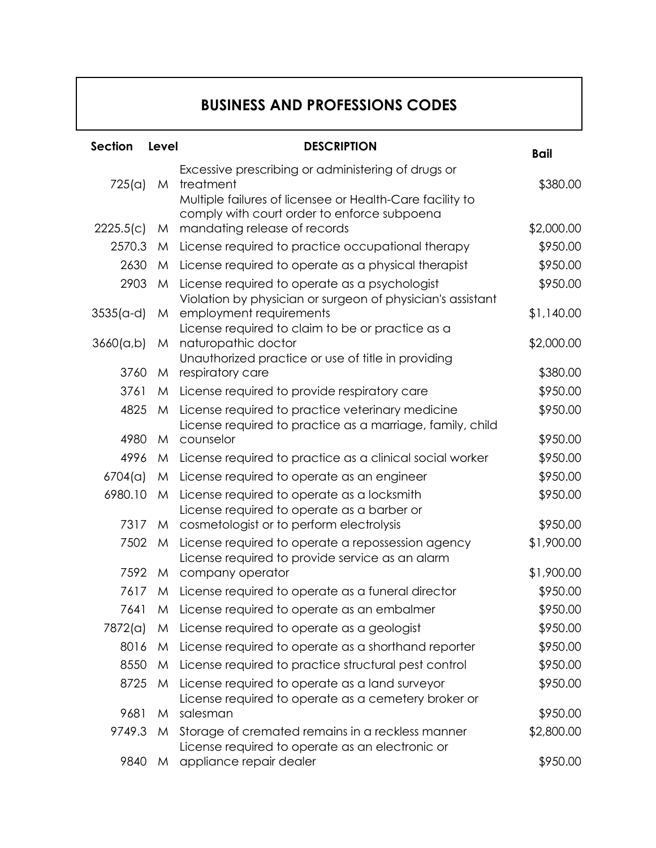## **BUSINESS AND PROFESSIONS CODES**

| <b>Section</b> | Level | <b>DESCRIPTION</b>                                                                                                                      | <b>Bail</b> |
|----------------|-------|-----------------------------------------------------------------------------------------------------------------------------------------|-------------|
| 725(a)         | M     | Excessive prescribing or administering of drugs or<br>treatment                                                                         | \$380.00    |
| 2225.5(c)      | M     | Multiple failures of licensee or Health-Care facility to<br>comply with court order to enforce subpoena<br>mandating release of records | \$2,000.00  |
| 2570.3         | M     | License required to practice occupational therapy                                                                                       | \$950.00    |
| 2630           | M     | License required to operate as a physical therapist                                                                                     | \$950.00    |
| 2903           | M     | License required to operate as a psychologist                                                                                           | \$950.00    |
|                |       | Violation by physician or surgeon of physician's assistant                                                                              |             |
| $3535(a-d)$    | M     | employment requirements                                                                                                                 | \$1,140.00  |
|                |       | License required to claim to be or practice as a                                                                                        |             |
| 3660(a,b)      | M     | naturopathic doctor<br>Unauthorized practice or use of title in providing                                                               | \$2,000.00  |
| 3760           | M     | respiratory care                                                                                                                        | \$380.00    |
| 3761           | M     | License required to provide respiratory care                                                                                            | \$950.00    |
| 4825           | M     | License required to practice veterinary medicine                                                                                        | \$950.00    |
|                |       | License required to practice as a marriage, family, child                                                                               |             |
| 4980           | M     | counselor                                                                                                                               | \$950.00    |
| 4996           | M     | License required to practice as a clinical social worker                                                                                | \$950.00    |
| 6704(a)        | M     | License required to operate as an engineer                                                                                              | \$950.00    |
| 6980.10        | M     | License required to operate as a locksmith                                                                                              | \$950.00    |
| 7317           |       | License required to operate as a barber or                                                                                              | \$950.00    |
| 7502           | M     | cosmetologist or to perform electrolysis                                                                                                | \$1,900.00  |
|                | M     | License required to operate a repossession agency<br>License required to provide service as an alarm                                    |             |
| 7592           |       | M company operator                                                                                                                      | \$1,900.00  |
| 7617           | M     | License required to operate as a funeral director                                                                                       | \$950.00    |
| 7641           | M     | License required to operate as an embalmer                                                                                              | \$950.00    |
| 7872(a)        |       | M License required to operate as a geologist                                                                                            | \$950.00    |
| 8016           | M     | License required to operate as a shorthand reporter                                                                                     | \$950.00    |
| 8550           | M     | License required to practice structural pest control                                                                                    | \$950.00    |
| 8725           | M     | License required to operate as a land surveyor                                                                                          | \$950.00    |
|                |       | License required to operate as a cemetery broker or                                                                                     |             |
| 9681           | M     | salesman                                                                                                                                | \$950.00    |
| 9749.3         | M.    | Storage of cremated remains in a reckless manner<br>License required to operate as an electronic or                                     | \$2,800.00  |
| 9840           | M     | appliance repair dealer                                                                                                                 | \$950.00    |